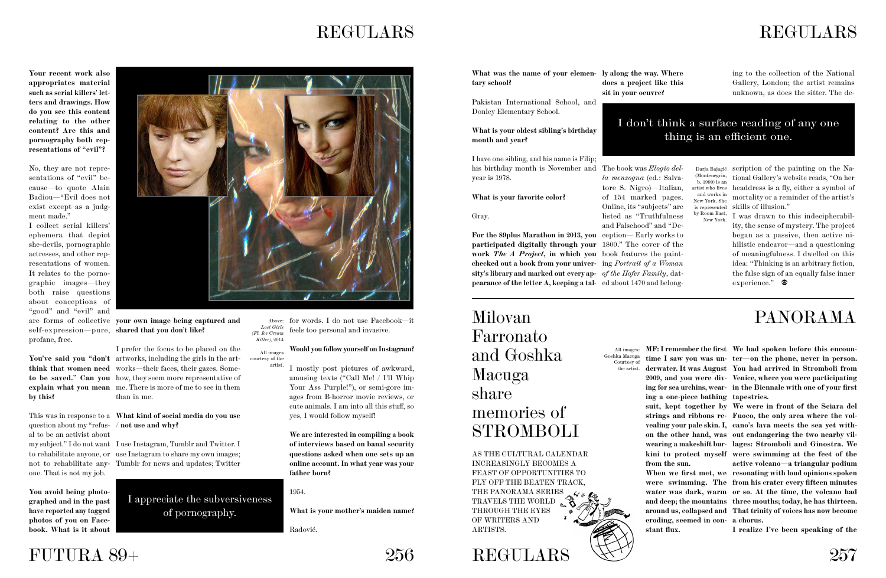## REGULARS





## **REGULARS**

**Your recent work also appropriates material such as serial killers' letters and drawings. How do you see this content relating to the other content? Are this and pornography both representations of "evil"?** 

No, they are not representations of "evil" because—to quote Alain Badiou—"Evil does not exist except as a judgment made."

I collect serial killers' ephemera that depict she-devils, pornographic actresses, and other representations of women. It relates to the pornographic images—they both raise questions about conceptions of "good" and "evil" and profane, free.

You've said you "don't artworks, including the girls in the art**think that women need**  works—their faces, their gazes. Some**to be saved." Can you**  how, they seem more representative of **explain what you mean**  me. There is more of me to see in them I prefer the focus to be placed on the than in me.

This was in response to a What kind of social media do you use

**by this?**

are forms of collective **your own image being captured and**  self-expression—pure, **shared that you don't like?**

question about my "refus-**/ not use and why?** al to be an activist about one. That is not my job.

**You avoid being photographed and in the past have reported any tagged photos of you on Facebook. !at is it about** 



**What was the name of your elemen- ly along the way. Where tary school?**

my subject." I do not want I use Instagram, Tumblr and Twitter. I to rehabilitate anyone, or use Instagram to share my own images; not to rehabilitate any-Tumblr for news and updates; Twitter

scription of the painting on the Na-Darja Bajagić tional Gallery's website reads, "On her artist who lives headdress is a fly, either a symbol of mortality or a reminder of the artist's is represented skills of illusion."

by Room East, I was drawn to this indecipherability, the sense of mystery. The project began as a passive, then active nihilistic endeavor—and a questioning of meaningfulness. I dwelled on this idea: "Thinking is an arbitrary fiction, the false sign of an equally false inner experience."

AS THE CULTURAL CALENDAR INCREASINGLY BECOMES A FEAST OF OPPORTUNITIES TO FLY OFF THE BEATEN TRACK, THE PANORAMA SERIES TRAVELS THE WORLD THROUGH THE EYES OF WRITERS AND ARTISTS.

Milovan Farronato and Goshka Macuga share memories of STROMBOLI

#### **Would you follow yourself on Instagram?**

#### I don't think a surface reading of any one thing is an efficient one.

Above: for words. I do not use Facebook—it feels too personal and invasive. *Lost Girls (Ft. Ice Cream Killer)*, 2014

> **We are interested in compiling a book of interviews based on banal security questions asked when one sets up an online account. In what year was your father born?**

1954.

**!at is your mother's maiden name?**

Radović.

Pakistan International School, and Donley Elementary School.

**!at is your oldest sibling's birthday month and year?**

I have one sibling, and his name is Filip; his birthday month is November and The book was *Elogio del*year is 1978.

**What is your favorite color?** 

Gray.

ing to the collection of the National Gallery, London; the artist remains unknown, as does the sitter. The de-

I mostly post pictures of awkward, amusing texts ("Call Me! / I'll Whip Your Ass Purple!"), or semi-gore images from B-horror movie reviews, or cute animals. I am into all this stuff, so yes, I would follow myself! artist.

**For the 89plus Marathon in 2013, you**  ception— Early works to **participated digitally through your**  1800." The cover of the **work** *The A Project***, in which you**  book features the paint**checked out a book from your univer-**ing *Portrait of a Woman*  **sity's library and marked out every ap-***of the Hofer Family*, dat**pearance of the letter A, keeping a tal-**ed about 1470 and belong-

**does a project like this sit in your oeuvre?**

*la menzogna* (ed.: Salvatore S. Nigro)—Italian, of 154 marked pages. Online, its "subjects" are listed as "Truthfulness and Falsehood" and "De-



**eroding, seemed in con-a chorus. stant flux.** 

## PANORAMA

**MF: I remember the first We had spoken before this encountime I saw you was un-ter—on the phone, never in person. derwater. It was August You had arrived in Stromboli from 2009, and you were div-Venice, where you were participating ing for sea urchins, wear-in the Biennale with one of your first** 

All images courtesy of the

> **suit, kept together by We were in front of the Sciara del strings and ribbons re-Fuoco, the only area where the volvealing your pale skin. I, cano's lava meets the sea yet withon the other hand, was out endangering the two nearby vilwearing a makeshift bur-lages: Stromboli and Ginostra. We kini to protect myself were swimming at the feet of the !en we first met, we resonating with loud opinions spoken were swimming. The from his crater every fifteen minutes water was dark, warm or so. At the time, the volcano had and deep; the mountains three mouths; today, he has thirteen. around us, collapsed and That trinity of voices has now become active volcano—a triangular podium**

(Montenegrin, b. 1990) is an and works in New York. She New York.

I appreciate the subversiveness of pornography.

**I realize I've been speaking of the** 



All images: Goshka Macuga Courtesy of the artist.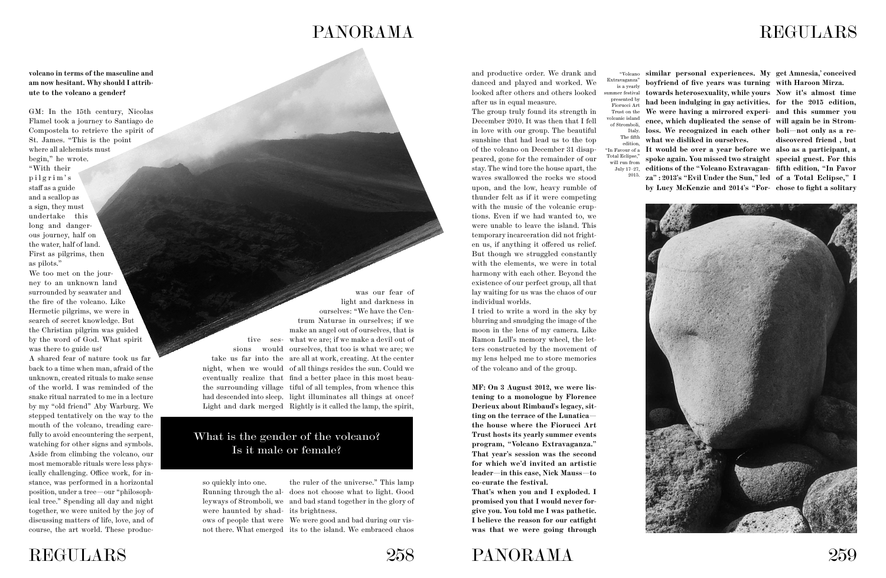## PANORAMA

**volcano in terms of the masculine and**  am now hesitant. Why should I attrib**ute to the volcano a gender?**

GM: In the 15th century, Nicolas Flamel took a journey to Santiago de Compostela to retrieve the spirit of St. James. "This is the point where all alchemists must begin," he wrote. "With their pilgrim's staff as a guide and a scallop as a sign, they must undertake this long and dangerous journey, half on the water, half of land. First as pilgrims, then as pilots."

We too met on the journey to an unknown land surrounded by seawater and the fire of the volcano. Like Hermetic pilgrims, we were in search of secret knowledge. But the Christian pilgrim was guided by the word of God. What spirit was there to guide us?

> ows of people that were We were good and bad during our visnot there. What emerged its to the island. We embraced chaos



A shared fear of nature took us far back to a time when man, afraid of the unknown, created rituals to make sense of the world. I was reminded of the snake ritual narrated to me in a lecture by my "old friend" Aby Warburg. We stepped tentatively on the way to the mouth of the volcano, treading carefully to avoid encountering the serpent, watching for other signs and symbols. Aside from climbing the volcano, our most memorable rituals were less physically challenging. Office work, for instance, was performed in a horizontal position, under a tree—our "philosophical tree." Spending all day and night together, we were united by the joy of discussing matters of life, love, and of course, the art world. These produc-

tive ses-what we are; if we make a devil out of sions would ourselves, that too is what we are; we take us far into the are all at work, creating. At the center night, when we would of all things resides the sun. Could we eventually realize that find a better place in this most beauthe surrounding village tiful of all temples, from whence this had descended into sleep. light illuminates all things at once? was our fear of light and darkness in ourselves: "We have the Centrum Naturae in ourselves; if we make an angel out of ourselves, that is

Light and dark merged Rightly is it called the lamp, the spirit,

Running through the al-does not choose what to light. Good leyways of Stromboli, we and bad stand together in the glory of the ruler of the universe." This lamp

so quickly into one. were haunted by shad-its brightness.



and productive order. We drank and danced and played and worked. We looked after others and others looked after us in equal measure.

> edition "In Favour of a Total Eclipse, will run from July 17–27, 2015.

#### What is the gender of the volcano? Is it male or female?

The group truly found its strength in December 2010. It was then that I fell in love with our group. The beautiful sunshine that had lead us to the top of the volcano on December 31 disappeared, gone for the remainder of our stay. The wind tore the house apart, the waves swallowed the rocks we stood upon, and the low, heavy rumble of thunder felt as if it were competing with the music of the volcanic eruptions. Even if we had wanted to, we were unable to leave the island. This temporary incarceration did not frighten us, if anything it offered us relief. But though we struggled constantly with the elements, we were in total harmony with each other. Beyond the existence of our perfect group, all that lay waiting for us was the chaos of our individual worlds.

I tried to write a word in the sky by blurring and smudging the image of the moon in the lens of my camera. Like Ramon Lull's memory wheel, the letters constructed by the movement of my lens helped me to store memories of the volcano and of the group.

**MF: On 3 August 2012, we were listening to a monologue by Florence Derieux about Rimbaud's legacy, sitting on the terrace of the Lunatica the house where the Fiorucci Art Trust hosts its yearly summer events program, "Volcano Extravaganza." That year's session was the second for which we'd invited an artistic leader—in this case, Nick Mauss—to co-curate the festival.**

**That's when you and I exploded. I promised you that I would never forgive you. You told me I was pathetic. I believe the reason for our catfight was that we were going through** 

**similar personal experiences. My get Amnesia,' conceived boyfriend of five years was turning with Haroon Mirza. towards heterosexuality, while yours Now it's almost time had been indulging in gay activities. for the 2015 edition, We were having a mirrored experi-and this summer you ence, which duplicated the sense of will again be in Stromloss. We recognized in each other boli—not only as a rewhat we disliked in ourselves.**

**It would be over a year before we also as a participant, a spoke again. You missed two straight special guest. For this editions of the "Volcano Extravagan-fifth edition, "In Favor za" : 2013's "Evil Under the Sun," led of a Total Eclipse," I by Lucy McKenzie and 2014's "For-chose to fight a solitary** 

**discovered friend , but** 





## REGULARS

"Volcano Extravaganza" is a yearly summer festival presented by Fiorucci Art Trust on the volcanic island of Stromboli, Italy. The fifth